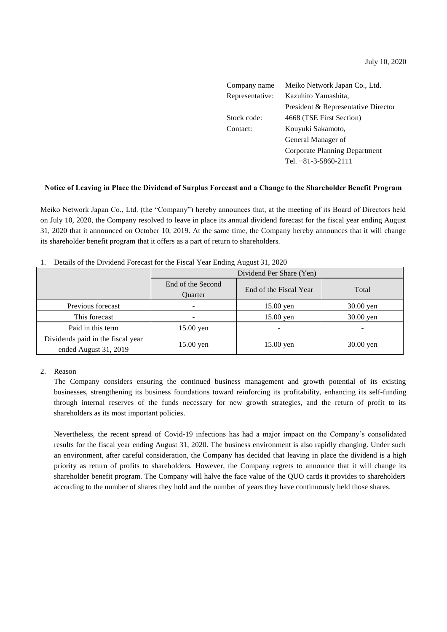| Company name    | Meiko Network Japan Co., Ltd.       |
|-----------------|-------------------------------------|
| Representative: | Kazuhito Yamashita,                 |
|                 | President & Representative Director |
| Stock code:     | 4668 (TSE First Section)            |
| Contact:        | Kouyuki Sakamoto,                   |
|                 | General Manager of                  |
|                 | Corporate Planning Department       |
|                 | Tel. $+81-3-5860-2111$              |

#### **Notice of Leaving in Place the Dividend of Surplus Forecast and a Change to the Shareholder Benefit Program**

Meiko Network Japan Co., Ltd. (the "Company") hereby announces that, at the meeting of its Board of Directors held on July 10, 2020, the Company resolved to leave in place its annual dividend forecast for the fiscal year ending August 31, 2020 that it announced on October 10, 2019. At the same time, the Company hereby announces that it will change its shareholder benefit program that it offers as a part of return to shareholders.

|                                                            | Dividend Per Share (Yen)            |                        |           |  |
|------------------------------------------------------------|-------------------------------------|------------------------|-----------|--|
|                                                            | End of the Second<br><b>Ouarter</b> | End of the Fiscal Year | Total     |  |
| Previous forecast                                          |                                     | 15.00 yen              | 30.00 yen |  |
| This forecast                                              |                                     | $15.00$ yen            | 30.00 yen |  |
| Paid in this term                                          | $15.00$ yen                         |                        |           |  |
| Dividends paid in the fiscal year<br>ended August 31, 2019 | $15.00$ yen                         | $15.00$ yen            | 30.00 yen |  |

| 1. Details of the Dividend Forecast for the Fiscal Year Ending August 31, 2020 |  |  |
|--------------------------------------------------------------------------------|--|--|
|                                                                                |  |  |

#### 2. Reason

The Company considers ensuring the continued business management and growth potential of its existing businesses, strengthening its business foundations toward reinforcing its profitability, enhancing its self-funding through internal reserves of the funds necessary for new growth strategies, and the return of profit to its shareholders as its most important policies.

Nevertheless, the recent spread of Covid-19 infections has had a major impact on the Company's consolidated results for the fiscal year ending August 31, 2020. The business environment is also rapidly changing. Under such an environment, after careful consideration, the Company has decided that leaving in place the dividend is a high priority as return of profits to shareholders. However, the Company regrets to announce that it will change its shareholder benefit program. The Company will halve the face value of the QUO cards it provides to shareholders according to the number of shares they hold and the number of years they have continuously held those shares.